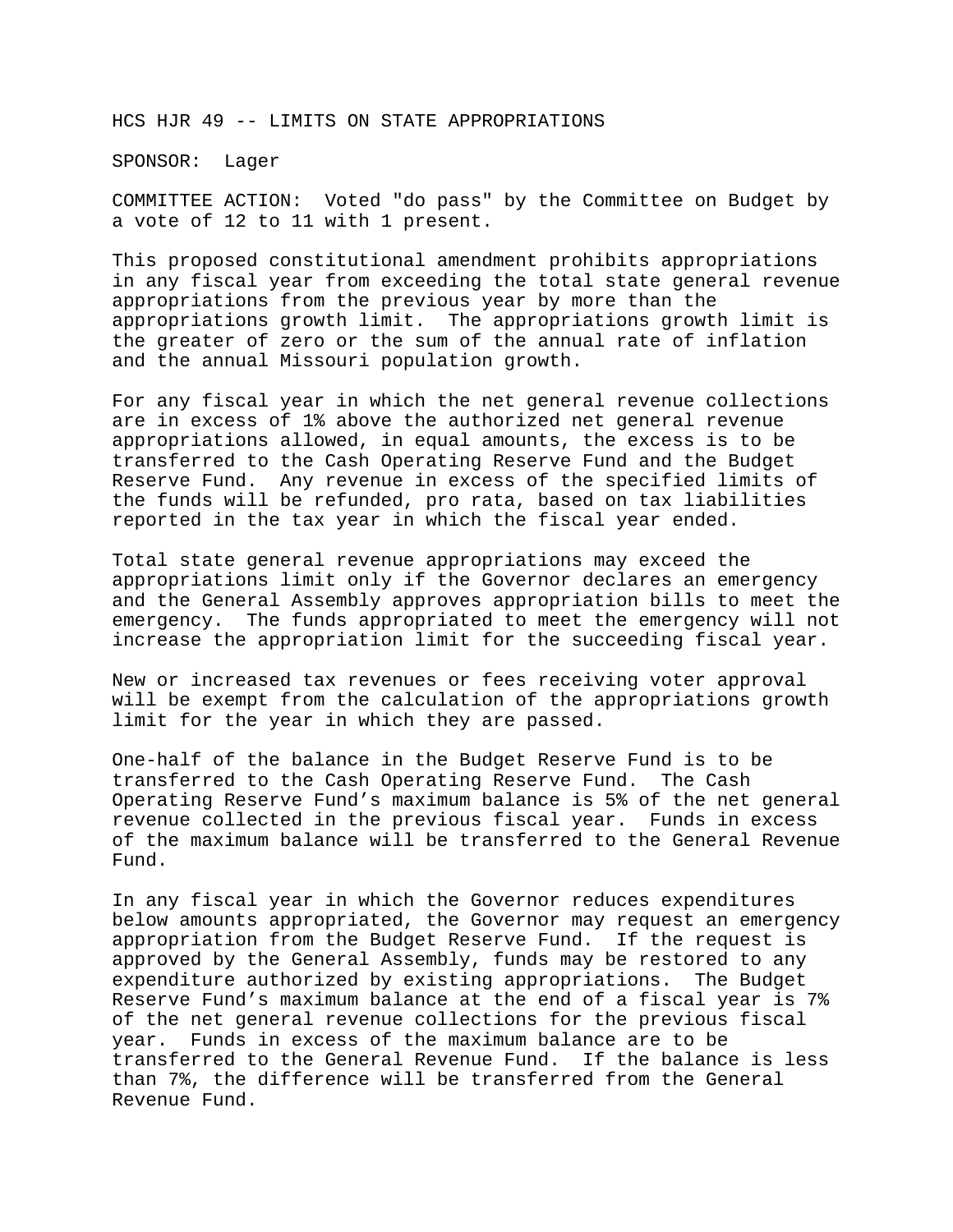HCS HJR 49 -- LIMITS ON STATE APPROPRIATIONS

SPONSOR: Lager

COMMITTEE ACTION: Voted "do pass" by the Committee on Budget by a vote of 12 to 11 with 1 present.

This proposed constitutional amendment prohibits appropriations in any fiscal year from exceeding the total state general revenue appropriations from the previous year by more than the appropriations growth limit. The appropriations growth limit is the greater of zero or the sum of the annual rate of inflation and the annual Missouri population growth.

For any fiscal year in which the net general revenue collections are in excess of 1% above the authorized net general revenue appropriations allowed, in equal amounts, the excess is to be transferred to the Cash Operating Reserve Fund and the Budget Reserve Fund. Any revenue in excess of the specified limits of the funds will be refunded, pro rata, based on tax liabilities reported in the tax year in which the fiscal year ended.

Total state general revenue appropriations may exceed the appropriations limit only if the Governor declares an emergency and the General Assembly approves appropriation bills to meet the emergency. The funds appropriated to meet the emergency will not increase the appropriation limit for the succeeding fiscal year.

New or increased tax revenues or fees receiving voter approval will be exempt from the calculation of the appropriations growth limit for the year in which they are passed.

One-half of the balance in the Budget Reserve Fund is to be transferred to the Cash Operating Reserve Fund. The Cash Operating Reserve Fund's maximum balance is 5% of the net general revenue collected in the previous fiscal year. Funds in excess of the maximum balance will be transferred to the General Revenue Fund.

In any fiscal year in which the Governor reduces expenditures below amounts appropriated, the Governor may request an emergency appropriation from the Budget Reserve Fund. If the request is approved by the General Assembly, funds may be restored to any expenditure authorized by existing appropriations. The Budget Reserve Fund's maximum balance at the end of a fiscal year is 7% of the net general revenue collections for the previous fiscal year. Funds in excess of the maximum balance are to be transferred to the General Revenue Fund. If the balance is less than 7%, the difference will be transferred from the General Revenue Fund.